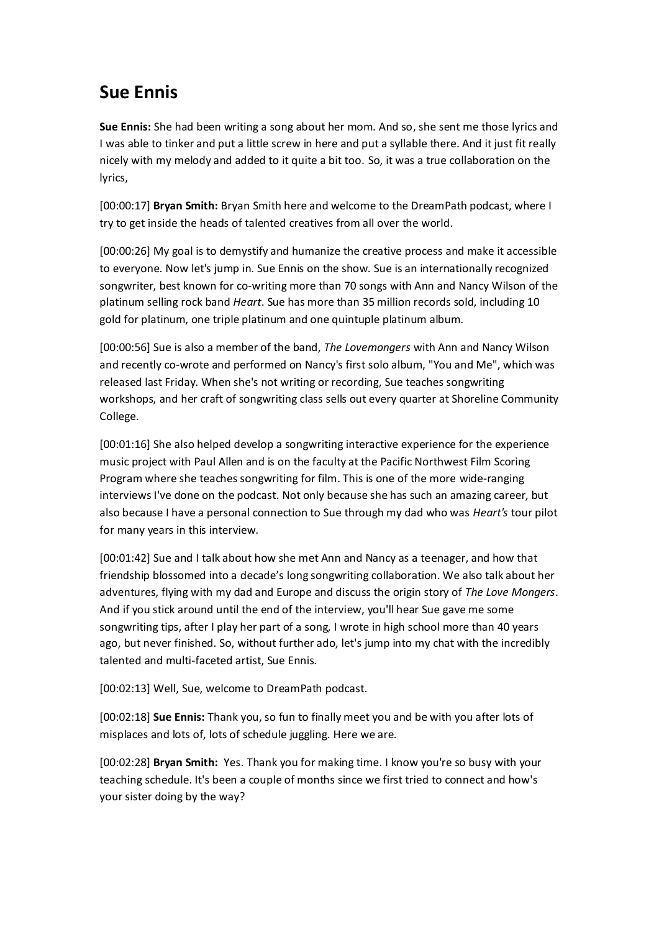## **Sue Ennis**

**Sue Ennis:** She had been writing a song about her mom. And so, she sent me those lyrics and I was able to tinker and put a little screw in here and put a syllable there. And it just fit really nicely with my melody and added to it quite a bit too. So, it was a true collaboration on the lyrics,

[00:00:17] **Bryan Smith:** Bryan Smith here and welcome to the DreamPath podcast, where I try to get inside the heads of talented creatives from all over the world.

[00:00:26] My goal is to demystify and humanize the creative process and make it accessible to everyone. Now let's jump in. Sue Ennis on the show. Sue is an internationally recognized songwriter, best known for co-writing more than 70 songs with Ann and Nancy Wilson of the platinum selling rock band *Heart*. Sue has more than 35 million records sold, including 10 gold for platinum, one triple platinum and one quintuple platinum album.

[00:00:56] Sue is also a member of the band, *The Lovemongers* with Ann and Nancy Wilson and recently co-wrote and performed on Nancy's first solo album, "You and Me", which was released last Friday. When she's not writing or recording, Sue teaches songwriting workshops, and her craft of songwriting class sells out every quarter at Shoreline Community College.

[00:01:16] She also helped develop a songwriting interactive experience for the experience music project with Paul Allen and is on the faculty at the Pacific Northwest Film Scoring Program where she teaches songwriting for film. This is one of the more wide-ranging interviews I've done on the podcast. Not only because she has such an amazing career, but also because I have a personal connection to Sue through my dad who was *Heart's* tour pilot for many years in this interview.

[00:01:42] Sue and I talk about how she met Ann and Nancy as a teenager, and how that friendship blossomed into a decade's long songwriting collaboration. We also talk about her adventures, flying with my dad and Europe and discuss the origin story of *The Love Mongers*. And if you stick around until the end of the interview, you'll hear Sue gave me some songwriting tips, after I play her part of a song, I wrote in high school more than 40 years ago, but never finished. So, without further ado, let's jump into my chat with the incredibly talented and multi-faceted artist, Sue Ennis.

[00:02:13] Well, Sue, welcome to DreamPath podcast.

[00:02:18] **Sue Ennis:** Thank you, so fun to finally meet you and be with you after lots of misplaces and lots of, lots of schedule juggling. Here we are.

[00:02:28] **Bryan Smith:** Yes. Thank you for making time. I know you're so busy with your teaching schedule. It's been a couple of months since we first tried to connect and how's your sister doing by the way?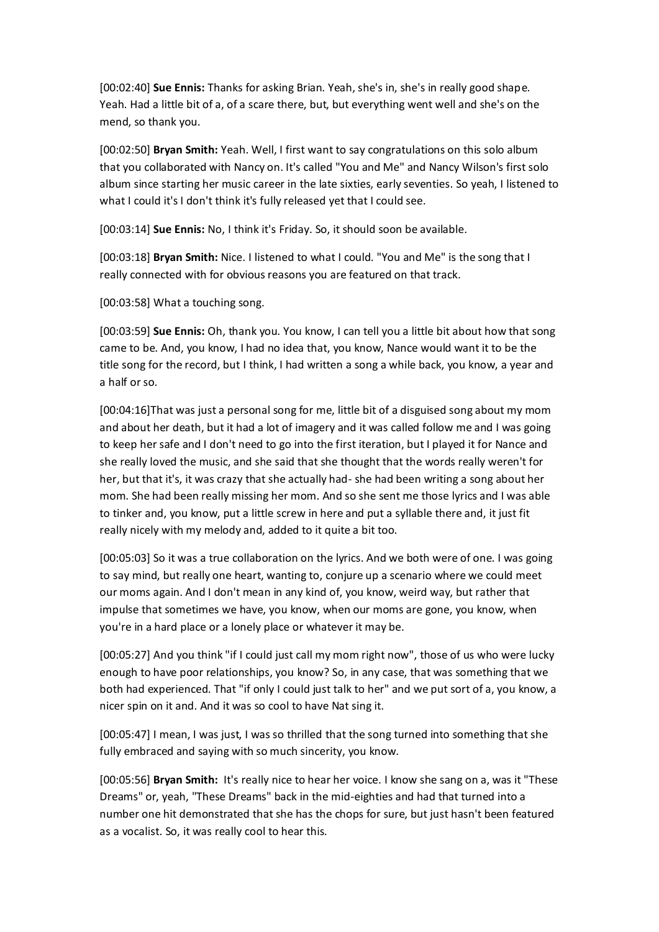[00:02:40] **Sue Ennis:** Thanks for asking Brian. Yeah, she's in, she's in really good shape. Yeah. Had a little bit of a, of a scare there, but, but everything went well and she's on the mend, so thank you.

[00:02:50] **Bryan Smith:** Yeah. Well, I first want to say congratulations on this solo album that you collaborated with Nancy on. It's called "You and Me" and Nancy Wilson's first solo album since starting her music career in the late sixties, early seventies. So yeah, I listened to what I could it's I don't think it's fully released yet that I could see.

[00:03:14] **Sue Ennis:** No, I think it's Friday. So, it should soon be available.

[00:03:18] **Bryan Smith:** Nice. I listened to what I could. "You and Me" is the song that I really connected with for obvious reasons you are featured on that track.

[00:03:58] What a touching song.

[00:03:59] **Sue Ennis:** Oh, thank you. You know, I can tell you a little bit about how that song came to be. And, you know, I had no idea that, you know, Nance would want it to be the title song for the record, but I think, I had written a song a while back, you know, a year and a half or so.

[00:04:16]That was just a personal song for me, little bit of a disguised song about my mom and about her death, but it had a lot of imagery and it was called follow me and I was going to keep her safe and I don't need to go into the first iteration, but I played it for Nance and she really loved the music, and she said that she thought that the words really weren't for her, but that it's, it was crazy that she actually had- she had been writing a song about her mom. She had been really missing her mom. And so she sent me those lyrics and I was able to tinker and, you know, put a little screw in here and put a syllable there and, it just fit really nicely with my melody and, added to it quite a bit too.

[00:05:03] So it was a true collaboration on the lyrics. And we both were of one. I was going to say mind, but really one heart, wanting to, conjure up a scenario where we could meet our moms again. And I don't mean in any kind of, you know, weird way, but rather that impulse that sometimes we have, you know, when our moms are gone, you know, when you're in a hard place or a lonely place or whatever it may be.

[00:05:27] And you think "if I could just call my mom right now", those of us who were lucky enough to have poor relationships, you know? So, in any case, that was something that we both had experienced. That "if only I could just talk to her" and we put sort of a, you know, a nicer spin on it and. And it was so cool to have Nat sing it.

[00:05:47] I mean, I was just, I was so thrilled that the song turned into something that she fully embraced and saying with so much sincerity, you know.

[00:05:56] **Bryan Smith:** It's really nice to hear her voice. I know she sang on a, was it "These Dreams" or, yeah, "These Dreams" back in the mid-eighties and had that turned into a number one hit demonstrated that she has the chops for sure, but just hasn't been featured as a vocalist. So, it was really cool to hear this.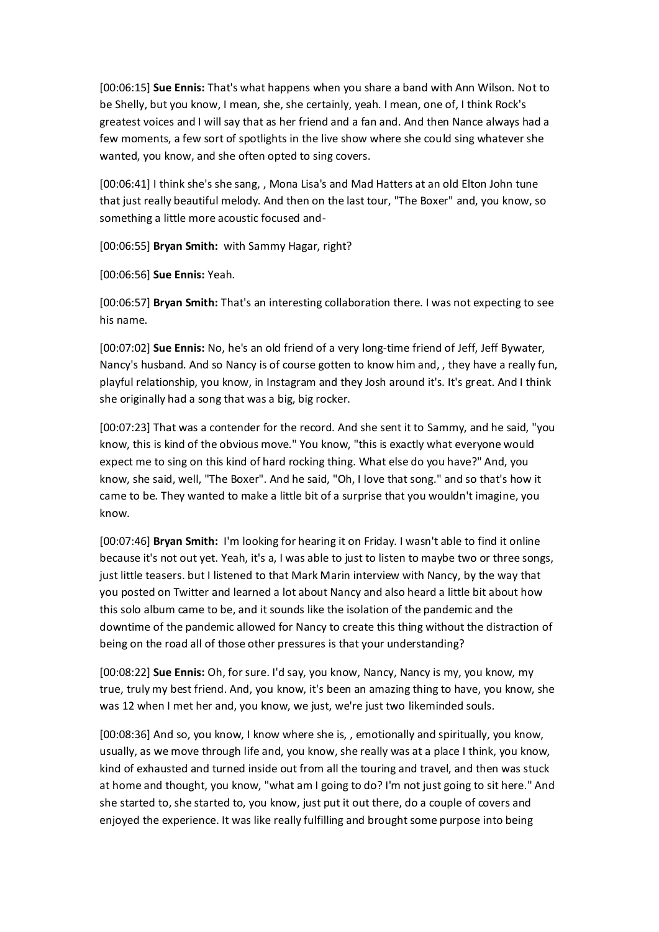[00:06:15] **Sue Ennis:** That's what happens when you share a band with Ann Wilson. Not to be Shelly, but you know, I mean, she, she certainly, yeah. I mean, one of, I think Rock's greatest voices and I will say that as her friend and a fan and. And then Nance always had a few moments, a few sort of spotlights in the live show where she could sing whatever she wanted, you know, and she often opted to sing covers.

[00:06:41] I think she's she sang, , Mona Lisa's and Mad Hatters at an old Elton John tune that just really beautiful melody. And then on the last tour, "The Boxer" and, you know, so something a little more acoustic focused and-

[00:06:55] **Bryan Smith:** with Sammy Hagar, right?

[00:06:56] **Sue Ennis:** Yeah.

[00:06:57] **Bryan Smith:** That's an interesting collaboration there. I was not expecting to see his name.

[00:07:02] **Sue Ennis:** No, he's an old friend of a very long-time friend of Jeff, Jeff Bywater, Nancy's husband. And so Nancy is of course gotten to know him and, , they have a really fun, playful relationship, you know, in Instagram and they Josh around it's. It's great. And I think she originally had a song that was a big, big rocker.

[00:07:23] That was a contender for the record. And she sent it to Sammy, and he said, "you know, this is kind of the obvious move." You know, "this is exactly what everyone would expect me to sing on this kind of hard rocking thing. What else do you have?" And, you know, she said, well, "The Boxer". And he said, "Oh, I love that song." and so that's how it came to be. They wanted to make a little bit of a surprise that you wouldn't imagine, you know.

[00:07:46] **Bryan Smith:** I'm looking for hearing it on Friday. I wasn't able to find it online because it's not out yet. Yeah, it's a, I was able to just to listen to maybe two or three songs, just little teasers. but I listened to that Mark Marin interview with Nancy, by the way that you posted on Twitter and learned a lot about Nancy and also heard a little bit about how this solo album came to be, and it sounds like the isolation of the pandemic and the downtime of the pandemic allowed for Nancy to create this thing without the distraction of being on the road all of those other pressures is that your understanding?

[00:08:22] **Sue Ennis:** Oh, for sure. I'd say, you know, Nancy, Nancy is my, you know, my true, truly my best friend. And, you know, it's been an amazing thing to have, you know, she was 12 when I met her and, you know, we just, we're just two likeminded souls.

[00:08:36] And so, you know, I know where she is, , emotionally and spiritually, you know, usually, as we move through life and, you know, she really was at a place I think, you know, kind of exhausted and turned inside out from all the touring and travel, and then was stuck at home and thought, you know, "what am I going to do? I'm not just going to sit here." And she started to, she started to, you know, just put it out there, do a couple of covers and enjoyed the experience. It was like really fulfilling and brought some purpose into being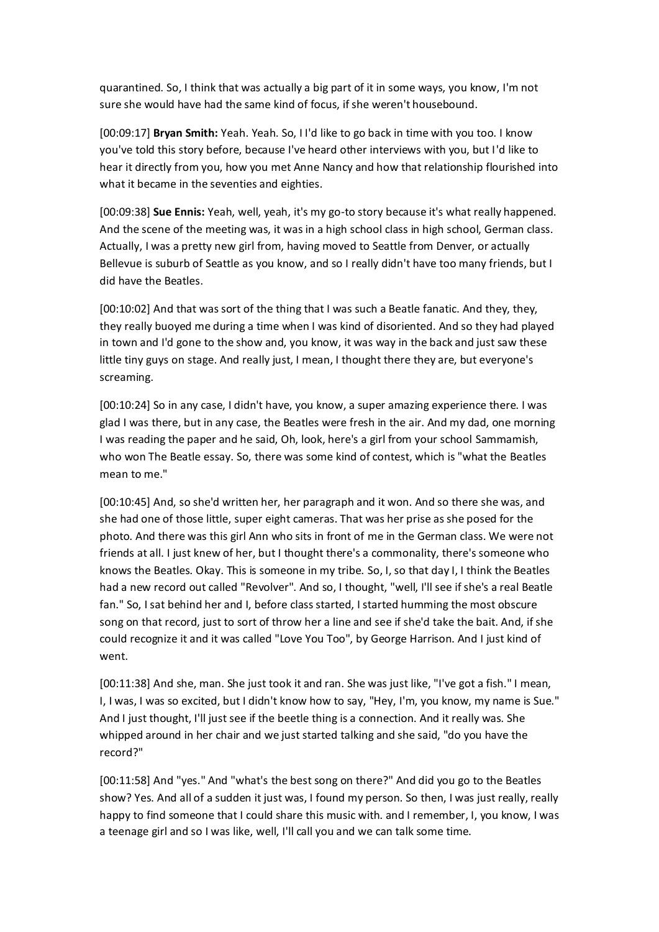quarantined. So, I think that was actually a big part of it in some ways, you know, I'm not sure she would have had the same kind of focus, if she weren't housebound.

[00:09:17] **Bryan Smith:** Yeah. Yeah. So, I I'd like to go back in time with you too. I know you've told this story before, because I've heard other interviews with you, but I'd like to hear it directly from you, how you met Anne Nancy and how that relationship flourished into what it became in the seventies and eighties.

[00:09:38] **Sue Ennis:** Yeah, well, yeah, it's my go-to story because it's what really happened. And the scene of the meeting was, it was in a high school class in high school, German class. Actually, I was a pretty new girl from, having moved to Seattle from Denver, or actually Bellevue is suburb of Seattle as you know, and so I really didn't have too many friends, but I did have the Beatles.

[00:10:02] And that was sort of the thing that I was such a Beatle fanatic. And they, they, they really buoyed me during a time when I was kind of disoriented. And so they had played in town and I'd gone to the show and, you know, it was way in the back and just saw these little tiny guys on stage. And really just, I mean, I thought there they are, but everyone's screaming.

[00:10:24] So in any case, I didn't have, you know, a super amazing experience there. I was glad I was there, but in any case, the Beatles were fresh in the air. And my dad, one morning I was reading the paper and he said, Oh, look, here's a girl from your school Sammamish, who won The Beatle essay. So, there was some kind of contest, which is "what the Beatles mean to me."

[00:10:45] And, so she'd written her, her paragraph and it won. And so there she was, and she had one of those little, super eight cameras. That was her prise as she posed for the photo. And there was this girl Ann who sits in front of me in the German class. We were not friends at all. I just knew of her, but I thought there's a commonality, there's someone who knows the Beatles. Okay. This is someone in my tribe. So, I, so that day I, I think the Beatles had a new record out called "Revolver". And so, I thought, "well, I'll see if she's a real Beatle fan." So, I sat behind her and I, before class started, I started humming the most obscure song on that record, just to sort of throw her a line and see if she'd take the bait. And, if she could recognize it and it was called "Love You Too", by George Harrison. And I just kind of went.

[00:11:38] And she, man. She just took it and ran. She was just like, "I've got a fish." I mean, I, I was, I was so excited, but I didn't know how to say, "Hey, I'm, you know, my name is Sue." And I just thought, I'll just see if the beetle thing is a connection. And it really was. She whipped around in her chair and we just started talking and she said, "do you have the record?"

[00:11:58] And "yes." And "what's the best song on there?" And did you go to the Beatles show? Yes. And all of a sudden it just was, I found my person. So then, I was just really, really happy to find someone that I could share this music with. and I remember, I, you know, I was a teenage girl and so I was like, well, I'll call you and we can talk some time.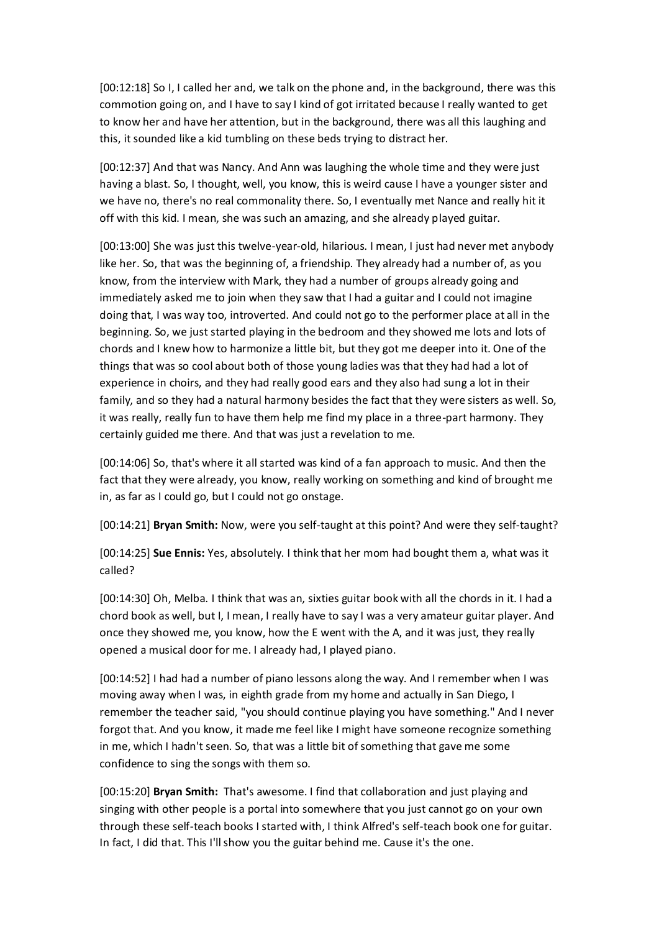[00:12:18] So I, I called her and, we talk on the phone and, in the background, there was this commotion going on, and I have to say I kind of got irritated because I really wanted to get to know her and have her attention, but in the background, there was all this laughing and this, it sounded like a kid tumbling on these beds trying to distract her.

[00:12:37] And that was Nancy. And Ann was laughing the whole time and they were just having a blast. So, I thought, well, you know, this is weird cause I have a younger sister and we have no, there's no real commonality there. So, I eventually met Nance and really hit it off with this kid. I mean, she was such an amazing, and she already played guitar.

[00:13:00] She was just this twelve-year-old, hilarious. I mean, I just had never met anybody like her. So, that was the beginning of, a friendship. They already had a number of, as you know, from the interview with Mark, they had a number of groups already going and immediately asked me to join when they saw that I had a guitar and I could not imagine doing that, I was way too, introverted. And could not go to the performer place at all in the beginning. So, we just started playing in the bedroom and they showed me lots and lots of chords and I knew how to harmonize a little bit, but they got me deeper into it. One of the things that was so cool about both of those young ladies was that they had had a lot of experience in choirs, and they had really good ears and they also had sung a lot in their family, and so they had a natural harmony besides the fact that they were sisters as well. So, it was really, really fun to have them help me find my place in a three-part harmony. They certainly guided me there. And that was just a revelation to me.

[00:14:06] So, that's where it all started was kind of a fan approach to music. And then the fact that they were already, you know, really working on something and kind of brought me in, as far as I could go, but I could not go onstage.

[00:14:21] **Bryan Smith:** Now, were you self-taught at this point? And were they self-taught?

[00:14:25] **Sue Ennis:** Yes, absolutely. I think that her mom had bought them a, what was it called?

[00:14:30] Oh, Melba. I think that was an, sixties guitar book with all the chords in it. I had a chord book as well, but I, I mean, I really have to say I was a very amateur guitar player. And once they showed me, you know, how the E went with the A, and it was just, they really opened a musical door for me. I already had, I played piano.

[00:14:52] I had had a number of piano lessons along the way. And I remember when I was moving away when I was, in eighth grade from my home and actually in San Diego, I remember the teacher said, "you should continue playing you have something." And I never forgot that. And you know, it made me feel like I might have someone recognize something in me, which I hadn't seen. So, that was a little bit of something that gave me some confidence to sing the songs with them so.

[00:15:20] **Bryan Smith:** That's awesome. I find that collaboration and just playing and singing with other people is a portal into somewhere that you just cannot go on your own through these self-teach books I started with, I think Alfred's self-teach book one for guitar. In fact, I did that. This I'll show you the guitar behind me. Cause it's the one.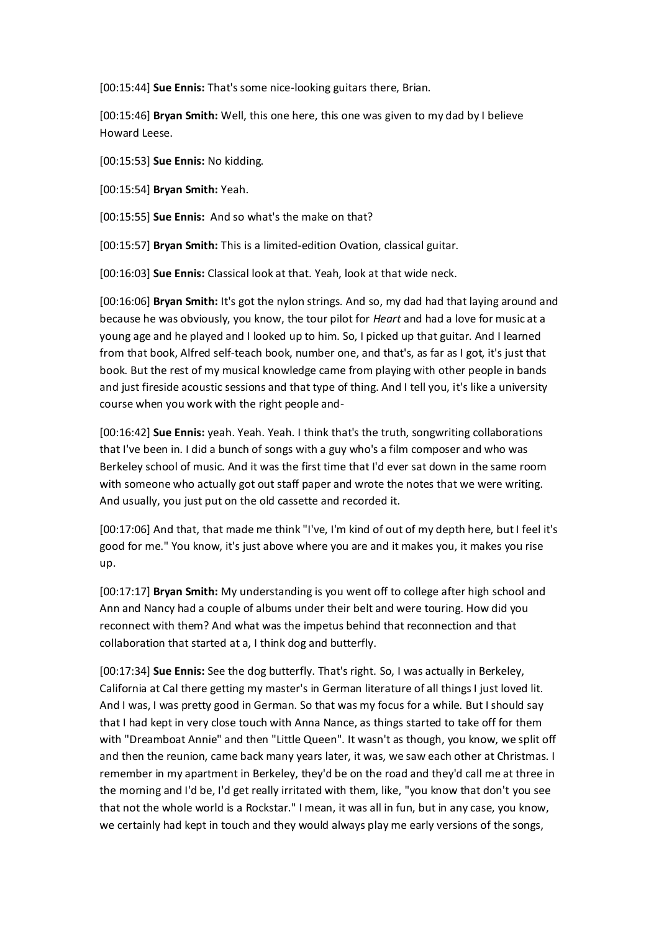[00:15:44] **Sue Ennis:** That's some nice-looking guitars there, Brian.

[00:15:46] **Bryan Smith:** Well, this one here, this one was given to my dad by I believe Howard Leese.

[00:15:53] **Sue Ennis:** No kidding.

[00:15:54] **Bryan Smith:** Yeah.

[00:15:55] **Sue Ennis:** And so what's the make on that?

[00:15:57] **Bryan Smith:** This is a limited-edition Ovation, classical guitar.

[00:16:03] **Sue Ennis:** Classical look at that. Yeah, look at that wide neck.

[00:16:06] **Bryan Smith:** It's got the nylon strings. And so, my dad had that laying around and because he was obviously, you know, the tour pilot for *Heart* and had a love for music at a young age and he played and I looked up to him. So, I picked up that guitar. And I learned from that book, Alfred self-teach book, number one, and that's, as far as I got, it's just that book. But the rest of my musical knowledge came from playing with other people in bands and just fireside acoustic sessions and that type of thing. And I tell you, it's like a university course when you work with the right people and-

[00:16:42] **Sue Ennis:** yeah. Yeah. Yeah. I think that's the truth, songwriting collaborations that I've been in. I did a bunch of songs with a guy who's a film composer and who was Berkeley school of music. And it was the first time that I'd ever sat down in the same room with someone who actually got out staff paper and wrote the notes that we were writing. And usually, you just put on the old cassette and recorded it.

[00:17:06] And that, that made me think "I've, I'm kind of out of my depth here, but I feel it's good for me." You know, it's just above where you are and it makes you, it makes you rise up.

[00:17:17] **Bryan Smith:** My understanding is you went off to college after high school and Ann and Nancy had a couple of albums under their belt and were touring. How did you reconnect with them? And what was the impetus behind that reconnection and that collaboration that started at a, I think dog and butterfly.

[00:17:34] **Sue Ennis:** See the dog butterfly. That's right. So, I was actually in Berkeley, California at Cal there getting my master's in German literature of all things I just loved lit. And I was, I was pretty good in German. So that was my focus for a while. But I should say that I had kept in very close touch with Anna Nance, as things started to take off for them with "Dreamboat Annie" and then "Little Queen". It wasn't as though, you know, we split off and then the reunion, came back many years later, it was, we saw each other at Christmas. I remember in my apartment in Berkeley, they'd be on the road and they'd call me at three in the morning and I'd be, I'd get really irritated with them, like, "you know that don't you see that not the whole world is a Rockstar." I mean, it was all in fun, but in any case, you know, we certainly had kept in touch and they would always play me early versions of the songs,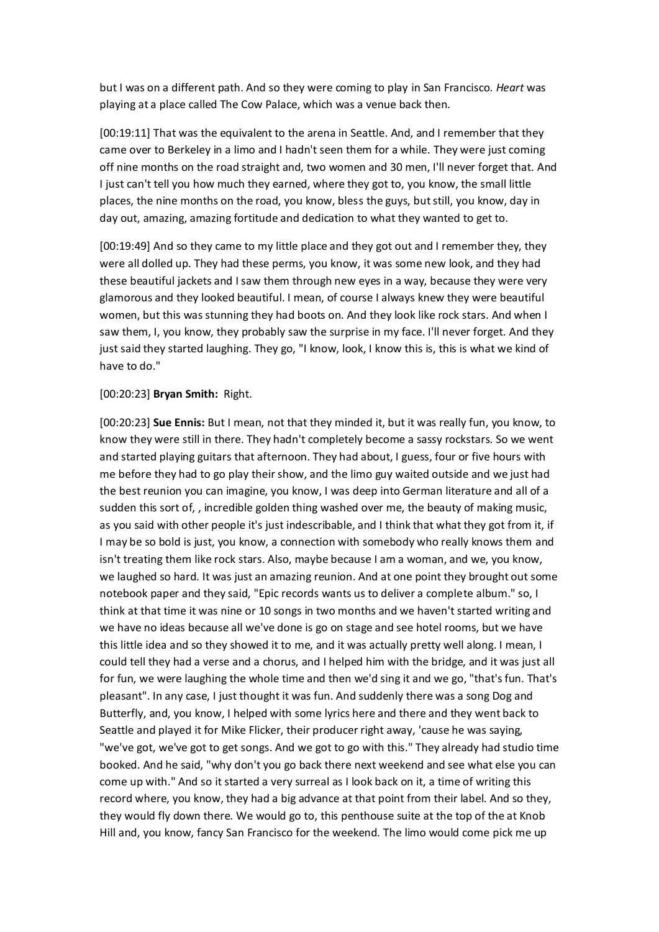but I was on a different path. And so they were coming to play in San Francisco. *Heart* was playing at a place called The Cow Palace, which was a venue back then.

[00:19:11] That was the equivalent to the arena in Seattle. And, and I remember that they came over to Berkeley in a limo and I hadn't seen them for a while. They were just coming off nine months on the road straight and, two women and 30 men, I'll never forget that. And I just can't tell you how much they earned, where they got to, you know, the small little places, the nine months on the road, you know, bless the guys, but still, you know, day in day out, amazing, amazing fortitude and dedication to what they wanted to get to.

[00:19:49] And so they came to my little place and they got out and I remember they, they were all dolled up. They had these perms, you know, it was some new look, and they had these beautiful jackets and I saw them through new eyes in a way, because they were very glamorous and they looked beautiful. I mean, of course I always knew they were beautiful women, but this was stunning they had boots on. And they look like rock stars. And when I saw them, I, you know, they probably saw the surprise in my face. I'll never forget. And they just said they started laughing. They go, "I know, look, I know this is, this is what we kind of have to do."

## [00:20:23] **Bryan Smith:** Right.

[00:20:23] **Sue Ennis:** But I mean, not that they minded it, but it was really fun, you know, to know they were still in there. They hadn't completely become a sassy rockstars. So we went and started playing guitars that afternoon. They had about, I guess, four or five hours with me before they had to go play their show, and the limo guy waited outside and we just had the best reunion you can imagine, you know, I was deep into German literature and all of a sudden this sort of, , incredible golden thing washed over me, the beauty of making music, as you said with other people it's just indescribable, and I think that what they got from it, if I may be so bold is just, you know, a connection with somebody who really knows them and isn't treating them like rock stars. Also, maybe because I am a woman, and we, you know, we laughed so hard. It was just an amazing reunion. And at one point they brought out some notebook paper and they said, "Epic records wants us to deliver a complete album." so, I think at that time it was nine or 10 songs in two months and we haven't started writing and we have no ideas because all we've done is go on stage and see hotel rooms, but we have this little idea and so they showed it to me, and it was actually pretty well along. I mean, I could tell they had a verse and a chorus, and I helped him with the bridge, and it was just all for fun, we were laughing the whole time and then we'd sing it and we go, "that's fun. That's pleasant". In any case, I just thought it was fun. And suddenly there was a song Dog and Butterfly, and, you know, I helped with some lyrics here and there and they went back to Seattle and played it for Mike Flicker, their producer right away, 'cause he was saying, "we've got, we've got to get songs. And we got to go with this." They already had studio time booked. And he said, "why don't you go back there next weekend and see what else you can come up with." And so it started a very surreal as I look back on it, a time of writing this record where, you know, they had a big advance at that point from their label. And so they, they would fly down there. We would go to, this penthouse suite at the top of the at Knob Hill and, you know, fancy San Francisco for the weekend. The limo would come pick me up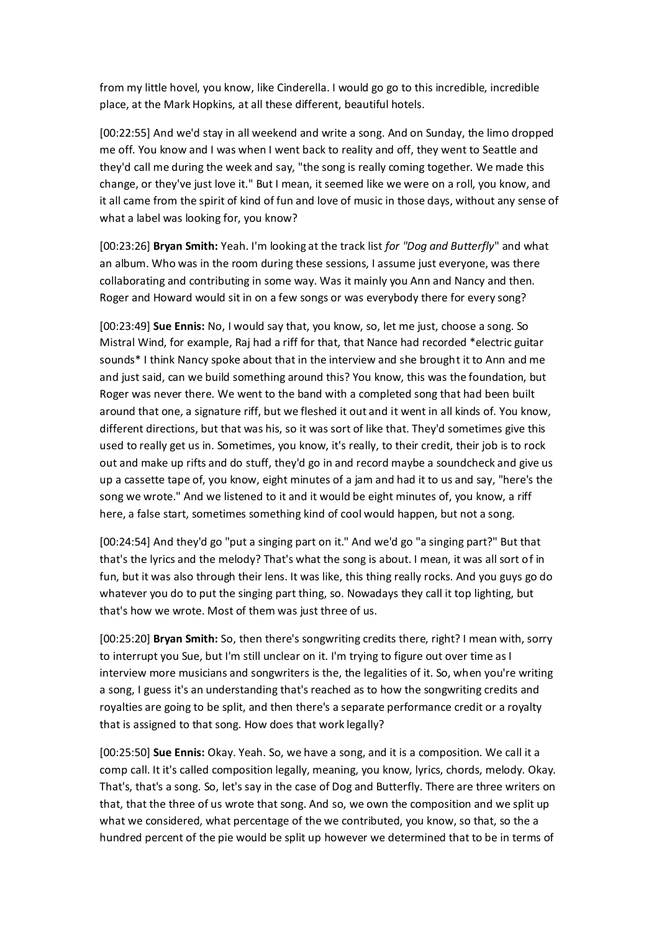from my little hovel, you know, like Cinderella. I would go go to this incredible, incredible place, at the Mark Hopkins, at all these different, beautiful hotels.

[00:22:55] And we'd stay in all weekend and write a song. And on Sunday, the limo dropped me off. You know and I was when I went back to reality and off, they went to Seattle and they'd call me during the week and say, "the song is really coming together. We made this change, or they've just love it." But I mean, it seemed like we were on a roll, you know, and it all came from the spirit of kind of fun and love of music in those days, without any sense of what a label was looking for, you know?

[00:23:26] **Bryan Smith:** Yeah. I'm looking at the track list *for "Dog and Butterfly*" and what an album. Who was in the room during these sessions, I assume just everyone, was there collaborating and contributing in some way. Was it mainly you Ann and Nancy and then. Roger and Howard would sit in on a few songs or was everybody there for every song?

[00:23:49] **Sue Ennis:** No, I would say that, you know, so, let me just, choose a song. So Mistral Wind, for example, Raj had a riff for that, that Nance had recorded \*electric guitar sounds\* I think Nancy spoke about that in the interview and she brought it to Ann and me and just said, can we build something around this? You know, this was the foundation, but Roger was never there. We went to the band with a completed song that had been built around that one, a signature riff, but we fleshed it out and it went in all kinds of. You know, different directions, but that was his, so it was sort of like that. They'd sometimes give this used to really get us in. Sometimes, you know, it's really, to their credit, their job is to rock out and make up rifts and do stuff, they'd go in and record maybe a soundcheck and give us up a cassette tape of, you know, eight minutes of a jam and had it to us and say, "here's the song we wrote." And we listened to it and it would be eight minutes of, you know, a riff here, a false start, sometimes something kind of cool would happen, but not a song.

[00:24:54] And they'd go "put a singing part on it." And we'd go "a singing part?" But that that's the lyrics and the melody? That's what the song is about. I mean, it was all sort of in fun, but it was also through their lens. It was like, this thing really rocks. And you guys go do whatever you do to put the singing part thing, so. Nowadays they call it top lighting, but that's how we wrote. Most of them was just three of us.

[00:25:20] **Bryan Smith:** So, then there's songwriting credits there, right? I mean with, sorry to interrupt you Sue, but I'm still unclear on it. I'm trying to figure out over time as I interview more musicians and songwriters is the, the legalities of it. So, when you're writing a song, I guess it's an understanding that's reached as to how the songwriting credits and royalties are going to be split, and then there's a separate performance credit or a royalty that is assigned to that song. How does that work legally?

[00:25:50] **Sue Ennis:** Okay. Yeah. So, we have a song, and it is a composition. We call it a comp call. It it's called composition legally, meaning, you know, lyrics, chords, melody. Okay. That's, that's a song. So, let's say in the case of Dog and Butterfly. There are three writers on that, that the three of us wrote that song. And so, we own the composition and we split up what we considered, what percentage of the we contributed, you know, so that, so the a hundred percent of the pie would be split up however we determined that to be in terms of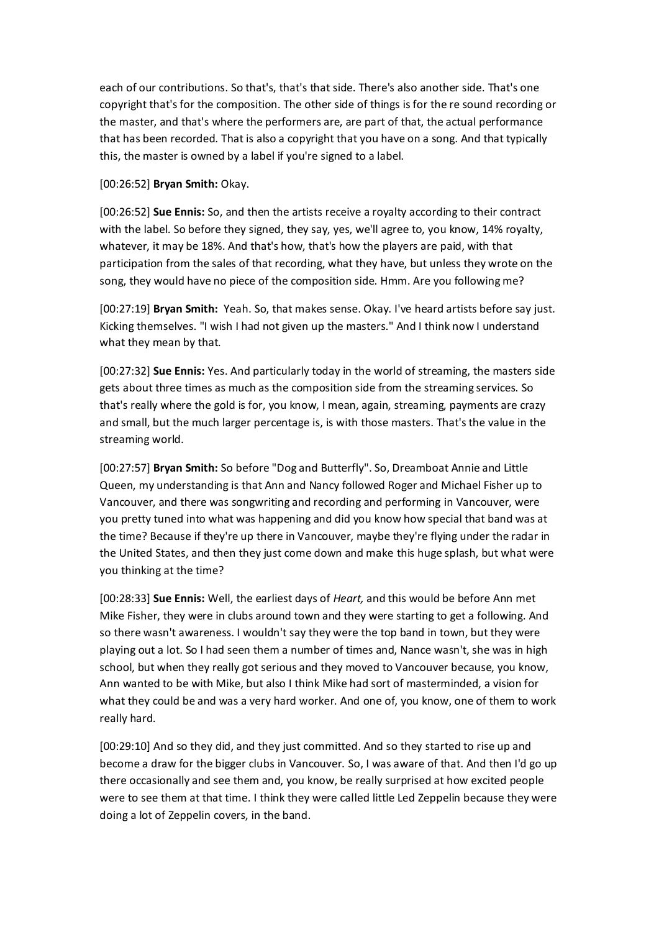each of our contributions. So that's, that's that side. There's also another side. That's one copyright that's for the composition. The other side of things is for the re sound recording or the master, and that's where the performers are, are part of that, the actual performance that has been recorded. That is also a copyright that you have on a song. And that typically this, the master is owned by a label if you're signed to a label.

[00:26:52] **Bryan Smith:** Okay.

[00:26:52] **Sue Ennis:** So, and then the artists receive a royalty according to their contract with the label. So before they signed, they say, yes, we'll agree to, you know, 14% royalty, whatever, it may be 18%. And that's how, that's how the players are paid, with that participation from the sales of that recording, what they have, but unless they wrote on the song, they would have no piece of the composition side. Hmm. Are you following me?

[00:27:19] **Bryan Smith:** Yeah. So, that makes sense. Okay. I've heard artists before say just. Kicking themselves. "I wish I had not given up the masters." And I think now I understand what they mean by that.

[00:27:32] **Sue Ennis:** Yes. And particularly today in the world of streaming, the masters side gets about three times as much as the composition side from the streaming services. So that's really where the gold is for, you know, I mean, again, streaming, payments are crazy and small, but the much larger percentage is, is with those masters. That's the value in the streaming world.

[00:27:57] **Bryan Smith:** So before "Dog and Butterfly". So, Dreamboat Annie and Little Queen, my understanding is that Ann and Nancy followed Roger and Michael Fisher up to Vancouver, and there was songwriting and recording and performing in Vancouver, were you pretty tuned into what was happening and did you know how special that band was at the time? Because if they're up there in Vancouver, maybe they're flying under the radar in the United States, and then they just come down and make this huge splash, but what were you thinking at the time?

[00:28:33] **Sue Ennis:** Well, the earliest days of *Heart,* and this would be before Ann met Mike Fisher, they were in clubs around town and they were starting to get a following. And so there wasn't awareness. I wouldn't say they were the top band in town, but they were playing out a lot. So I had seen them a number of times and, Nance wasn't, she was in high school, but when they really got serious and they moved to Vancouver because, you know, Ann wanted to be with Mike, but also I think Mike had sort of masterminded, a vision for what they could be and was a very hard worker. And one of, you know, one of them to work really hard.

[00:29:10] And so they did, and they just committed. And so they started to rise up and become a draw for the bigger clubs in Vancouver. So, I was aware of that. And then I'd go up there occasionally and see them and, you know, be really surprised at how excited people were to see them at that time. I think they were called little Led Zeppelin because they were doing a lot of Zeppelin covers, in the band.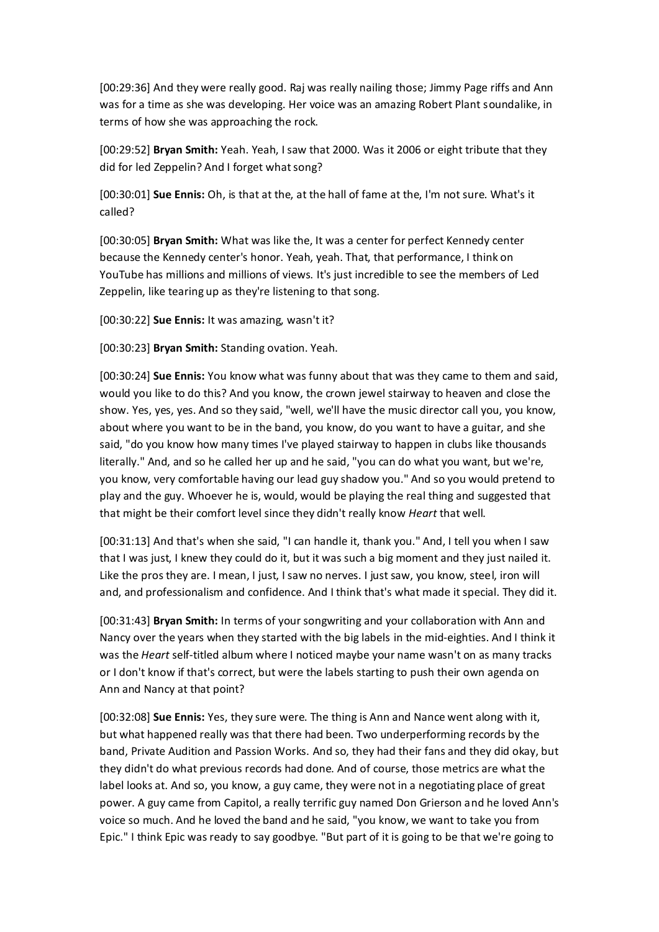[00:29:36] And they were really good. Raj was really nailing those; Jimmy Page riffs and Ann was for a time as she was developing. Her voice was an amazing Robert Plant soundalike, in terms of how she was approaching the rock.

[00:29:52] **Bryan Smith:** Yeah. Yeah, I saw that 2000. Was it 2006 or eight tribute that they did for led Zeppelin? And I forget what song?

[00:30:01] **Sue Ennis:** Oh, is that at the, at the hall of fame at the, I'm not sure. What's it called?

[00:30:05] **Bryan Smith:** What was like the, It was a center for perfect Kennedy center because the Kennedy center's honor. Yeah, yeah. That, that performance, I think on YouTube has millions and millions of views. It's just incredible to see the members of Led Zeppelin, like tearing up as they're listening to that song.

[00:30:22] **Sue Ennis:** It was amazing, wasn't it?

[00:30:23] **Bryan Smith:** Standing ovation. Yeah.

[00:30:24] **Sue Ennis:** You know what was funny about that was they came to them and said, would you like to do this? And you know, the crown jewel stairway to heaven and close the show. Yes, yes, yes. And so they said, "well, we'll have the music director call you, you know, about where you want to be in the band, you know, do you want to have a guitar, and she said, "do you know how many times I've played stairway to happen in clubs like thousands literally." And, and so he called her up and he said, "you can do what you want, but we're, you know, very comfortable having our lead guy shadow you." And so you would pretend to play and the guy. Whoever he is, would, would be playing the real thing and suggested that that might be their comfort level since they didn't really know *Heart* that well.

[00:31:13] And that's when she said, "I can handle it, thank you." And, I tell you when I saw that I was just, I knew they could do it, but it was such a big moment and they just nailed it. Like the pros they are. I mean, I just, I saw no nerves. I just saw, you know, steel, iron will and, and professionalism and confidence. And I think that's what made it special. They did it.

[00:31:43] **Bryan Smith:** In terms of your songwriting and your collaboration with Ann and Nancy over the years when they started with the big labels in the mid-eighties. And I think it was the *Heart* self-titled album where I noticed maybe your name wasn't on as many tracks or I don't know if that's correct, but were the labels starting to push their own agenda on Ann and Nancy at that point?

[00:32:08] **Sue Ennis:** Yes, they sure were. The thing is Ann and Nance went along with it, but what happened really was that there had been. Two underperforming records by the band, Private Audition and Passion Works. And so, they had their fans and they did okay, but they didn't do what previous records had done. And of course, those metrics are what the label looks at. And so, you know, a guy came, they were not in a negotiating place of great power. A guy came from Capitol, a really terrific guy named Don Grierson and he loved Ann's voice so much. And he loved the band and he said, "you know, we want to take you from Epic." I think Epic was ready to say goodbye. "But part of it is going to be that we're going to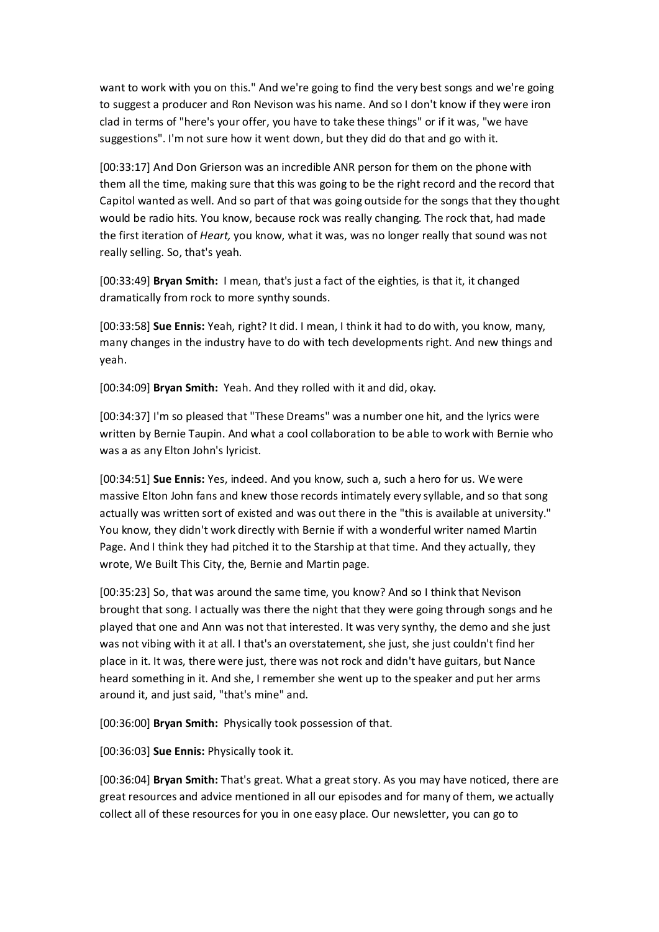want to work with you on this." And we're going to find the very best songs and we're going to suggest a producer and Ron Nevison was his name. And so I don't know if they were iron clad in terms of "here's your offer, you have to take these things" or if it was, "we have suggestions". I'm not sure how it went down, but they did do that and go with it.

[00:33:17] And Don Grierson was an incredible ANR person for them on the phone with them all the time, making sure that this was going to be the right record and the record that Capitol wanted as well. And so part of that was going outside for the songs that they thought would be radio hits. You know, because rock was really changing. The rock that, had made the first iteration of *Heart,* you know, what it was, was no longer really that sound was not really selling. So, that's yeah.

[00:33:49] **Bryan Smith:** I mean, that's just a fact of the eighties, is that it, it changed dramatically from rock to more synthy sounds.

[00:33:58] **Sue Ennis:** Yeah, right? It did. I mean, I think it had to do with, you know, many, many changes in the industry have to do with tech developments right. And new things and yeah.

[00:34:09] **Bryan Smith:** Yeah. And they rolled with it and did, okay.

[00:34:37] I'm so pleased that "These Dreams" was a number one hit, and the lyrics were written by Bernie Taupin. And what a cool collaboration to be able to work with Bernie who was a as any Elton John's lyricist.

[00:34:51] **Sue Ennis:** Yes, indeed. And you know, such a, such a hero for us. We were massive Elton John fans and knew those records intimately every syllable, and so that song actually was written sort of existed and was out there in the "this is available at university." You know, they didn't work directly with Bernie if with a wonderful writer named Martin Page. And I think they had pitched it to the Starship at that time. And they actually, they wrote, We Built This City, the, Bernie and Martin page.

[00:35:23] So, that was around the same time, you know? And so I think that Nevison brought that song. I actually was there the night that they were going through songs and he played that one and Ann was not that interested. It was very synthy, the demo and she just was not vibing with it at all. I that's an overstatement, she just, she just couldn't find her place in it. It was, there were just, there was not rock and didn't have guitars, but Nance heard something in it. And she, I remember she went up to the speaker and put her arms around it, and just said, "that's mine" and.

[00:36:00] **Bryan Smith:** Physically took possession of that.

[00:36:03] **Sue Ennis:** Physically took it.

[00:36:04] **Bryan Smith:** That's great. What a great story. As you may have noticed, there are great resources and advice mentioned in all our episodes and for many of them, we actually collect all of these resources for you in one easy place. Our newsletter, you can go to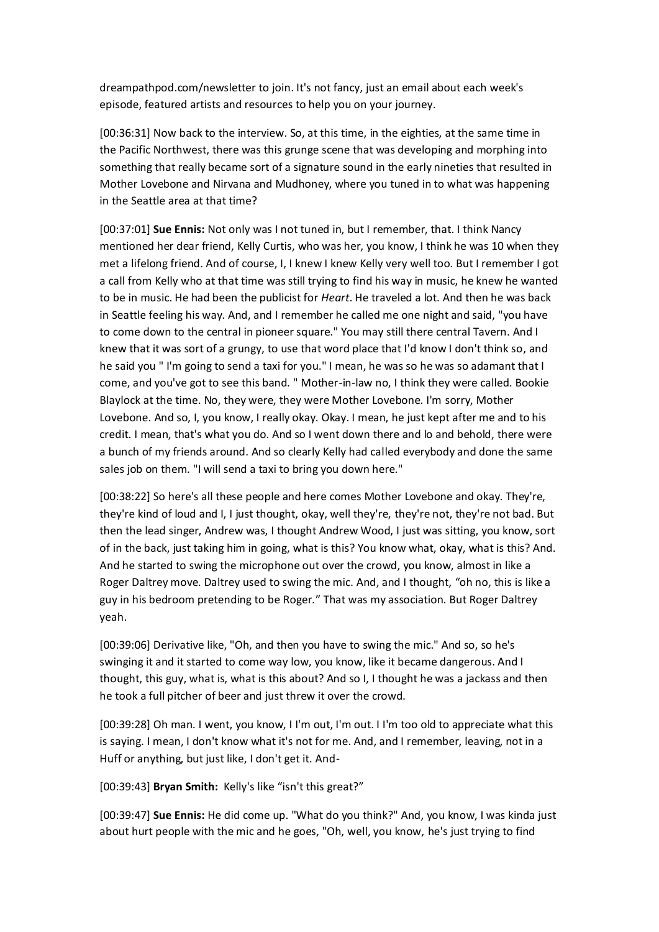dreampathpod.com/newsletter to join. It's not fancy, just an email about each week's episode, featured artists and resources to help you on your journey.

[00:36:31] Now back to the interview. So, at this time, in the eighties, at the same time in the Pacific Northwest, there was this grunge scene that was developing and morphing into something that really became sort of a signature sound in the early nineties that resulted in Mother Lovebone and Nirvana and Mudhoney, where you tuned in to what was happening in the Seattle area at that time?

[00:37:01] **Sue Ennis:** Not only was I not tuned in, but I remember, that. I think Nancy mentioned her dear friend, Kelly Curtis, who was her, you know, I think he was 10 when they met a lifelong friend. And of course, I, I knew I knew Kelly very well too. But I remember I got a call from Kelly who at that time was still trying to find his way in music, he knew he wanted to be in music. He had been the publicist for *Heart*. He traveled a lot. And then he was back in Seattle feeling his way. And, and I remember he called me one night and said, "you have to come down to the central in pioneer square." You may still there central Tavern. And I knew that it was sort of a grungy, to use that word place that I'd know I don't think so, and he said you " I'm going to send a taxi for you." I mean, he was so he was so adamant that I come, and you've got to see this band. " Mother-in-law no, I think they were called. Bookie Blaylock at the time. No, they were, they were Mother Lovebone. I'm sorry, Mother Lovebone. And so, I, you know, I really okay. Okay. I mean, he just kept after me and to his credit. I mean, that's what you do. And so I went down there and lo and behold, there were a bunch of my friends around. And so clearly Kelly had called everybody and done the same sales job on them. "I will send a taxi to bring you down here."

[00:38:22] So here's all these people and here comes Mother Lovebone and okay. They're, they're kind of loud and I, I just thought, okay, well they're, they're not, they're not bad. But then the lead singer, Andrew was, I thought Andrew Wood, I just was sitting, you know, sort of in the back, just taking him in going, what is this? You know what, okay, what is this? And. And he started to swing the microphone out over the crowd, you know, almost in like a Roger Daltrey move. Daltrey used to swing the mic. And, and I thought, "oh no, this is like a guy in his bedroom pretending to be Roger." That was my association. But Roger Daltrey yeah.

[00:39:06] Derivative like, "Oh, and then you have to swing the mic." And so, so he's swinging it and it started to come way low, you know, like it became dangerous. And I thought, this guy, what is, what is this about? And so I, I thought he was a jackass and then he took a full pitcher of beer and just threw it over the crowd.

[00:39:28] Oh man. I went, you know, I I'm out, I'm out. I I'm too old to appreciate what this is saying. I mean, I don't know what it's not for me. And, and I remember, leaving, not in a Huff or anything, but just like, I don't get it. And-

[00:39:43] **Bryan Smith:** Kelly's like "isn't this great?"

[00:39:47] **Sue Ennis:** He did come up. "What do you think?" And, you know, I was kinda just about hurt people with the mic and he goes, "Oh, well, you know, he's just trying to find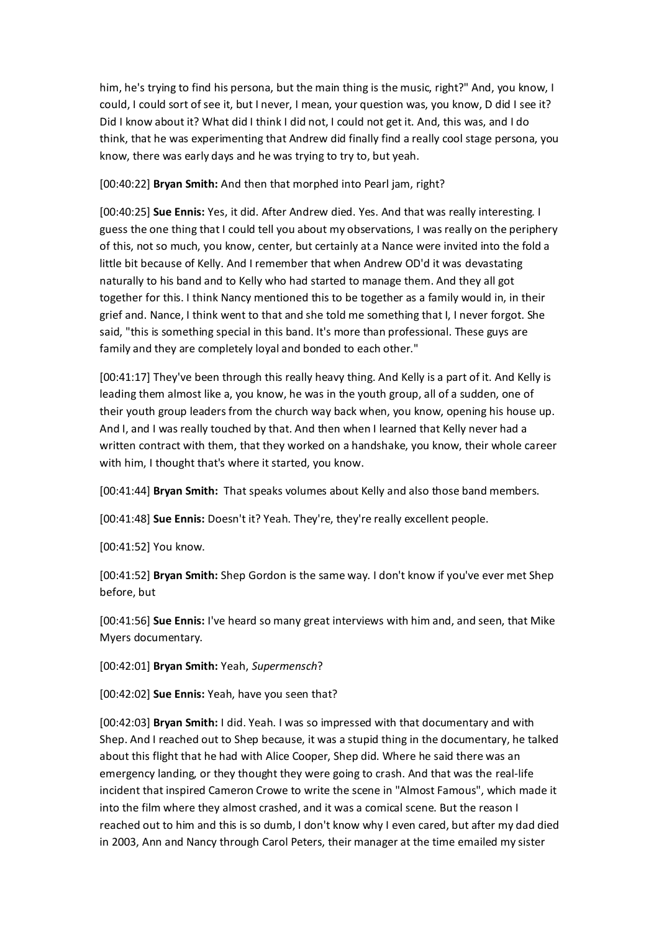him, he's trying to find his persona, but the main thing is the music, right?" And, you know, I could, I could sort of see it, but I never, I mean, your question was, you know, D did I see it? Did I know about it? What did I think I did not, I could not get it. And, this was, and I do think, that he was experimenting that Andrew did finally find a really cool stage persona, you know, there was early days and he was trying to try to, but yeah.

[00:40:22] **Bryan Smith:** And then that morphed into Pearl jam, right?

[00:40:25] **Sue Ennis:** Yes, it did. After Andrew died. Yes. And that was really interesting. I guess the one thing that I could tell you about my observations, I was really on the periphery of this, not so much, you know, center, but certainly at a Nance were invited into the fold a little bit because of Kelly. And I remember that when Andrew OD'd it was devastating naturally to his band and to Kelly who had started to manage them. And they all got together for this. I think Nancy mentioned this to be together as a family would in, in their grief and. Nance, I think went to that and she told me something that I, I never forgot. She said, "this is something special in this band. It's more than professional. These guys are family and they are completely loyal and bonded to each other."

[00:41:17] They've been through this really heavy thing. And Kelly is a part of it. And Kelly is leading them almost like a, you know, he was in the youth group, all of a sudden, one of their youth group leaders from the church way back when, you know, opening his house up. And I, and I was really touched by that. And then when I learned that Kelly never had a written contract with them, that they worked on a handshake, you know, their whole career with him, I thought that's where it started, you know.

[00:41:44] **Bryan Smith:** That speaks volumes about Kelly and also those band members.

[00:41:48] **Sue Ennis:** Doesn't it? Yeah. They're, they're really excellent people.

[00:41:52] You know.

[00:41:52] **Bryan Smith:** Shep Gordon is the same way. I don't know if you've ever met Shep before, but

[00:41:56] **Sue Ennis:** I've heard so many great interviews with him and, and seen, that Mike Myers documentary.

[00:42:01] **Bryan Smith:** Yeah, *Supermensch*?

[00:42:02] **Sue Ennis:** Yeah, have you seen that?

[00:42:03] **Bryan Smith:** I did. Yeah. I was so impressed with that documentary and with Shep. And I reached out to Shep because, it was a stupid thing in the documentary, he talked about this flight that he had with Alice Cooper, Shep did. Where he said there was an emergency landing, or they thought they were going to crash. And that was the real-life incident that inspired Cameron Crowe to write the scene in "Almost Famous", which made it into the film where they almost crashed, and it was a comical scene. But the reason I reached out to him and this is so dumb, I don't know why I even cared, but after my dad died in 2003, Ann and Nancy through Carol Peters, their manager at the time emailed my sister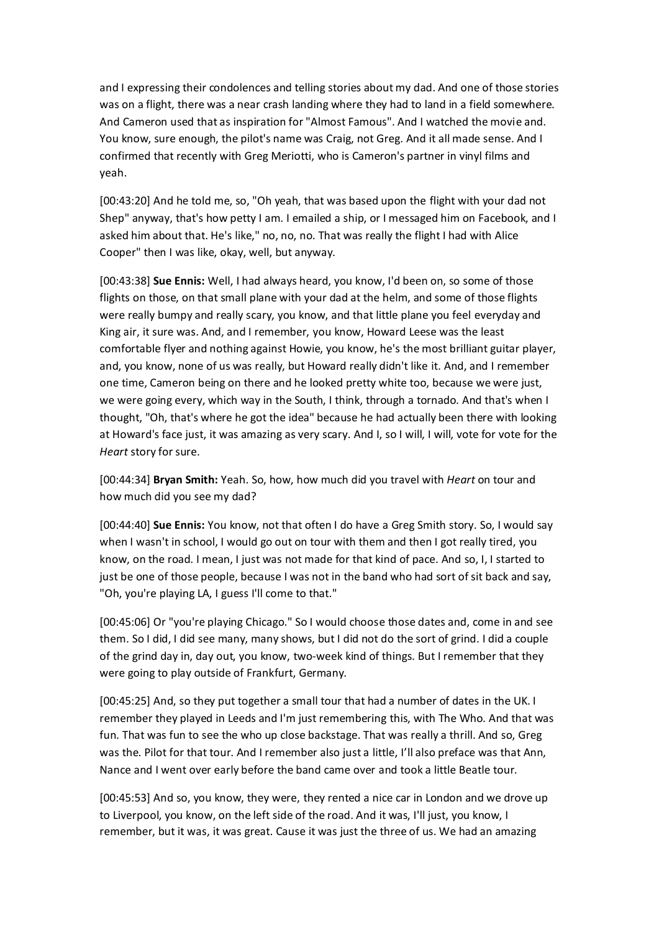and I expressing their condolences and telling stories about my dad. And one of those stories was on a flight, there was a near crash landing where they had to land in a field somewhere. And Cameron used that as inspiration for "Almost Famous". And I watched the movie and. You know, sure enough, the pilot's name was Craig, not Greg. And it all made sense. And I confirmed that recently with Greg Meriotti, who is Cameron's partner in vinyl films and yeah.

[00:43:20] And he told me, so, "Oh yeah, that was based upon the flight with your dad not Shep" anyway, that's how petty I am. I emailed a ship, or I messaged him on Facebook, and I asked him about that. He's like," no, no, no. That was really the flight I had with Alice Cooper" then I was like, okay, well, but anyway.

[00:43:38] **Sue Ennis:** Well, I had always heard, you know, I'd been on, so some of those flights on those, on that small plane with your dad at the helm, and some of those flights were really bumpy and really scary, you know, and that little plane you feel everyday and King air, it sure was. And, and I remember, you know, Howard Leese was the least comfortable flyer and nothing against Howie, you know, he's the most brilliant guitar player, and, you know, none of us was really, but Howard really didn't like it. And, and I remember one time, Cameron being on there and he looked pretty white too, because we were just, we were going every, which way in the South, I think, through a tornado. And that's when I thought, "Oh, that's where he got the idea" because he had actually been there with looking at Howard's face just, it was amazing as very scary. And I, so I will, I will, vote for vote for the *Heart* story for sure.

[00:44:34] **Bryan Smith:** Yeah. So, how, how much did you travel with *Heart* on tour and how much did you see my dad?

[00:44:40] **Sue Ennis:** You know, not that often I do have a Greg Smith story. So, I would say when I wasn't in school, I would go out on tour with them and then I got really tired, you know, on the road. I mean, I just was not made for that kind of pace. And so, I, I started to just be one of those people, because I was not in the band who had sort of sit back and say, "Oh, you're playing LA, I guess I'll come to that."

[00:45:06] Or "you're playing Chicago." So I would choose those dates and, come in and see them. So I did, I did see many, many shows, but I did not do the sort of grind. I did a couple of the grind day in, day out, you know, two-week kind of things. But I remember that they were going to play outside of Frankfurt, Germany.

[00:45:25] And, so they put together a small tour that had a number of dates in the UK. I remember they played in Leeds and I'm just remembering this, with The Who. And that was fun. That was fun to see the who up close backstage. That was really a thrill. And so, Greg was the. Pilot for that tour. And I remember also just a little, I'll also preface was that Ann, Nance and I went over early before the band came over and took a little Beatle tour.

[00:45:53] And so, you know, they were, they rented a nice car in London and we drove up to Liverpool, you know, on the left side of the road. And it was, I'll just, you know, I remember, but it was, it was great. Cause it was just the three of us. We had an amazing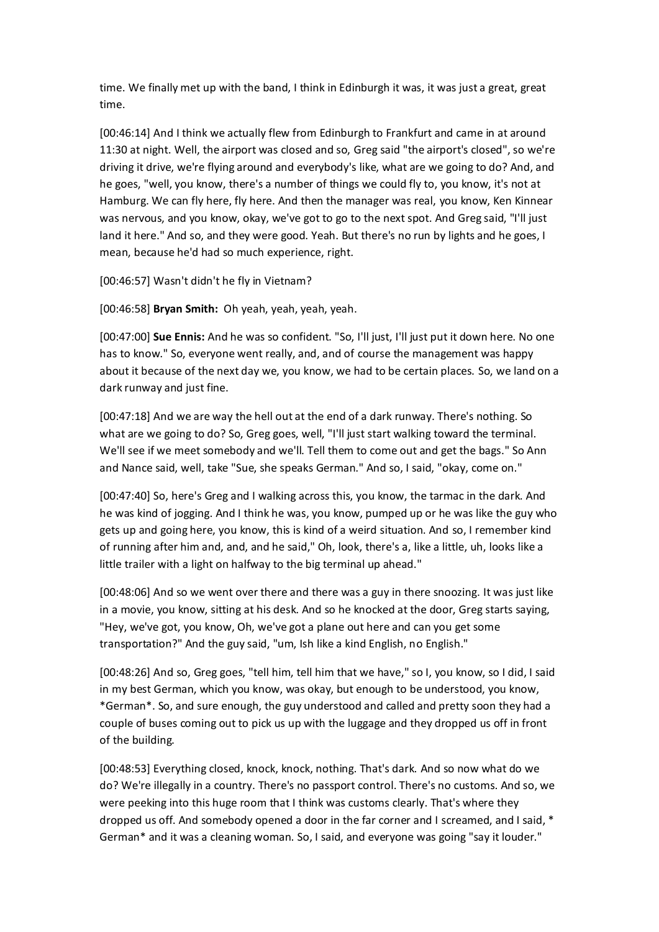time. We finally met up with the band, I think in Edinburgh it was, it was just a great, great time.

[00:46:14] And I think we actually flew from Edinburgh to Frankfurt and came in at around 11:30 at night. Well, the airport was closed and so, Greg said "the airport's closed", so we're driving it drive, we're flying around and everybody's like, what are we going to do? And, and he goes, "well, you know, there's a number of things we could fly to, you know, it's not at Hamburg. We can fly here, fly here. And then the manager was real, you know, Ken Kinnear was nervous, and you know, okay, we've got to go to the next spot. And Greg said, "I'll just land it here." And so, and they were good. Yeah. But there's no run by lights and he goes, I mean, because he'd had so much experience, right.

[00:46:57] Wasn't didn't he fly in Vietnam?

[00:46:58] **Bryan Smith:** Oh yeah, yeah, yeah, yeah.

[00:47:00] **Sue Ennis:** And he was so confident. "So, I'll just, I'll just put it down here. No one has to know." So, everyone went really, and, and of course the management was happy about it because of the next day we, you know, we had to be certain places. So, we land on a dark runway and just fine.

[00:47:18] And we are way the hell out at the end of a dark runway. There's nothing. So what are we going to do? So, Greg goes, well, "I'll just start walking toward the terminal. We'll see if we meet somebody and we'll. Tell them to come out and get the bags." So Ann and Nance said, well, take "Sue, she speaks German." And so, I said, "okay, come on."

[00:47:40] So, here's Greg and I walking across this, you know, the tarmac in the dark. And he was kind of jogging. And I think he was, you know, pumped up or he was like the guy who gets up and going here, you know, this is kind of a weird situation. And so, I remember kind of running after him and, and, and he said," Oh, look, there's a, like a little, uh, looks like a little trailer with a light on halfway to the big terminal up ahead."

[00:48:06] And so we went over there and there was a guy in there snoozing. It was just like in a movie, you know, sitting at his desk. And so he knocked at the door, Greg starts saying, "Hey, we've got, you know, Oh, we've got a plane out here and can you get some transportation?" And the guy said, "um, Ish like a kind English, no English."

[00:48:26] And so, Greg goes, "tell him, tell him that we have," so I, you know, so I did, I said in my best German, which you know, was okay, but enough to be understood, you know, \*German\*. So, and sure enough, the guy understood and called and pretty soon they had a couple of buses coming out to pick us up with the luggage and they dropped us off in front of the building.

[00:48:53] Everything closed, knock, knock, nothing. That's dark. And so now what do we do? We're illegally in a country. There's no passport control. There's no customs. And so, we were peeking into this huge room that I think was customs clearly. That's where they dropped us off. And somebody opened a door in the far corner and I screamed, and I said, \* German\* and it was a cleaning woman. So, I said, and everyone was going "say it louder."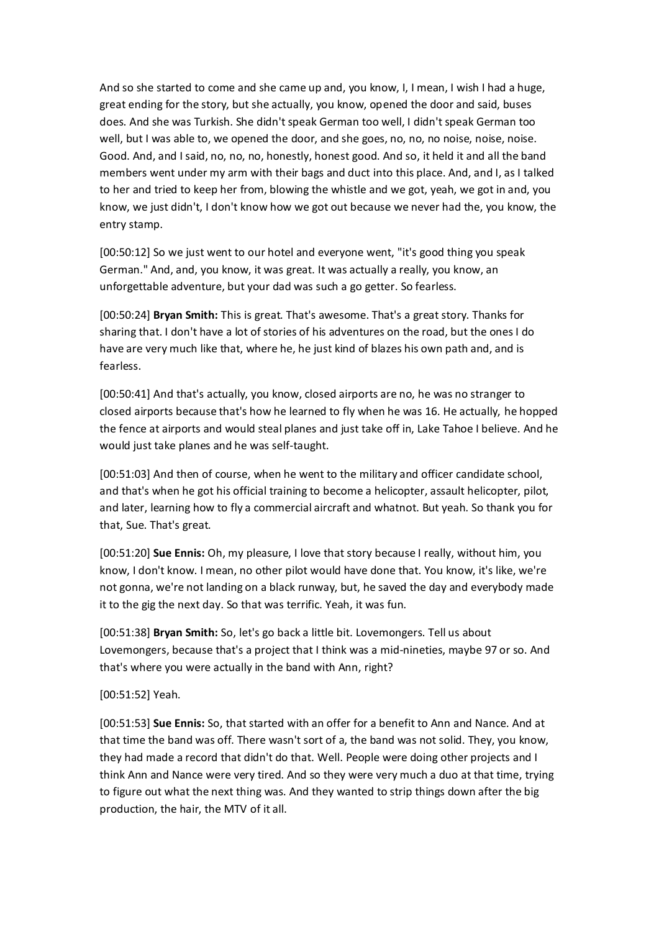And so she started to come and she came up and, you know, I, I mean, I wish I had a huge, great ending for the story, but she actually, you know, opened the door and said, buses does. And she was Turkish. She didn't speak German too well, I didn't speak German too well, but I was able to, we opened the door, and she goes, no, no, no noise, noise, noise. Good. And, and I said, no, no, no, honestly, honest good. And so, it held it and all the band members went under my arm with their bags and duct into this place. And, and I, as I talked to her and tried to keep her from, blowing the whistle and we got, yeah, we got in and, you know, we just didn't, I don't know how we got out because we never had the, you know, the entry stamp.

[00:50:12] So we just went to our hotel and everyone went, "it's good thing you speak German." And, and, you know, it was great. It was actually a really, you know, an unforgettable adventure, but your dad was such a go getter. So fearless.

[00:50:24] **Bryan Smith:** This is great. That's awesome. That's a great story. Thanks for sharing that. I don't have a lot of stories of his adventures on the road, but the ones I do have are very much like that, where he, he just kind of blazes his own path and, and is fearless.

[00:50:41] And that's actually, you know, closed airports are no, he was no stranger to closed airports because that's how he learned to fly when he was 16. He actually, he hopped the fence at airports and would steal planes and just take off in, Lake Tahoe I believe. And he would just take planes and he was self-taught.

[00:51:03] And then of course, when he went to the military and officer candidate school, and that's when he got his official training to become a helicopter, assault helicopter, pilot, and later, learning how to fly a commercial aircraft and whatnot. But yeah. So thank you for that, Sue. That's great.

[00:51:20] **Sue Ennis:** Oh, my pleasure, I love that story because I really, without him, you know, I don't know. I mean, no other pilot would have done that. You know, it's like, we're not gonna, we're not landing on a black runway, but, he saved the day and everybody made it to the gig the next day. So that was terrific. Yeah, it was fun.

[00:51:38] **Bryan Smith:** So, let's go back a little bit. Lovemongers. Tell us about Lovemongers, because that's a project that I think was a mid-nineties, maybe 97 or so. And that's where you were actually in the band with Ann, right?

## [00:51:52] Yeah.

[00:51:53] **Sue Ennis:** So, that started with an offer for a benefit to Ann and Nance. And at that time the band was off. There wasn't sort of a, the band was not solid. They, you know, they had made a record that didn't do that. Well. People were doing other projects and I think Ann and Nance were very tired. And so they were very much a duo at that time, trying to figure out what the next thing was. And they wanted to strip things down after the big production, the hair, the MTV of it all.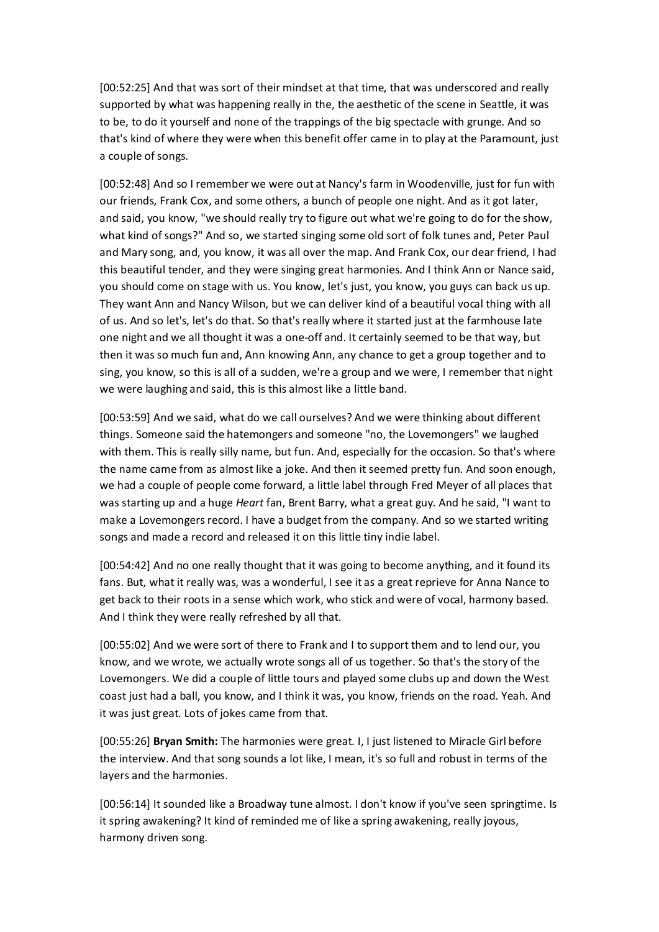[00:52:25] And that was sort of their mindset at that time, that was underscored and really supported by what was happening really in the, the aesthetic of the scene in Seattle, it was to be, to do it yourself and none of the trappings of the big spectacle with grunge. And so that's kind of where they were when this benefit offer came in to play at the Paramount, just a couple of songs.

[00:52:48] And so I remember we were out at Nancy's farm in Woodenville, just for fun with our friends, Frank Cox, and some others, a bunch of people one night. And as it got later, and said, you know, "we should really try to figure out what we're going to do for the show, what kind of songs?" And so, we started singing some old sort of folk tunes and, Peter Paul and Mary song, and, you know, it was all over the map. And Frank Cox, our dear friend, I had this beautiful tender, and they were singing great harmonies. And I think Ann or Nance said, you should come on stage with us. You know, let's just, you know, you guys can back us up. They want Ann and Nancy Wilson, but we can deliver kind of a beautiful vocal thing with all of us. And so let's, let's do that. So that's really where it started just at the farmhouse late one night and we all thought it was a one-off and. It certainly seemed to be that way, but then it was so much fun and, Ann knowing Ann, any chance to get a group together and to sing, you know, so this is all of a sudden, we're a group and we were, I remember that night we were laughing and said, this is this almost like a little band.

[00:53:59] And we said, what do we call ourselves? And we were thinking about different things. Someone said the hatemongers and someone "no, the Lovemongers" we laughed with them. This is really silly name, but fun. And, especially for the occasion. So that's where the name came from as almost like a joke. And then it seemed pretty fun. And soon enough, we had a couple of people come forward, a little label through Fred Meyer of all places that was starting up and a huge *Heart* fan, Brent Barry, what a great guy. And he said, "I want to make a Lovemongers record. I have a budget from the company. And so we started writing songs and made a record and released it on this little tiny indie label.

[00:54:42] And no one really thought that it was going to become anything, and it found its fans. But, what it really was, was a wonderful, I see it as a great reprieve for Anna Nance to get back to their roots in a sense which work, who stick and were of vocal, harmony based. And I think they were really refreshed by all that.

[00:55:02] And we were sort of there to Frank and I to support them and to lend our, you know, and we wrote, we actually wrote songs all of us together. So that's the story of the Lovemongers. We did a couple of little tours and played some clubs up and down the West coast just had a ball, you know, and I think it was, you know, friends on the road. Yeah. And it was just great. Lots of jokes came from that.

[00:55:26] **Bryan Smith:** The harmonies were great. I, I just listened to Miracle Girl before the interview. And that song sounds a lot like, I mean, it's so full and robust in terms of the layers and the harmonies.

[00:56:14] It sounded like a Broadway tune almost. I don't know if you've seen springtime. Is it spring awakening? It kind of reminded me of like a spring awakening, really joyous, harmony driven song.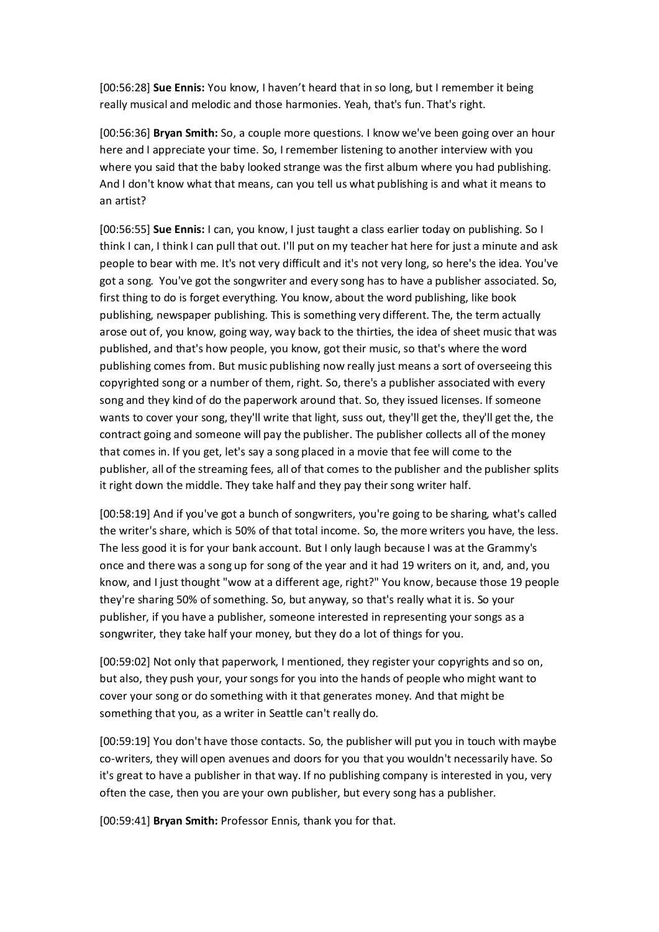[00:56:28] **Sue Ennis:** You know, I haven't heard that in so long, but I remember it being really musical and melodic and those harmonies. Yeah, that's fun. That's right.

[00:56:36] **Bryan Smith:** So, a couple more questions. I know we've been going over an hour here and I appreciate your time. So, I remember listening to another interview with you where you said that the baby looked strange was the first album where you had publishing. And I don't know what that means, can you tell us what publishing is and what it means to an artist?

[00:56:55] **Sue Ennis:** I can, you know, I just taught a class earlier today on publishing. So I think I can, I think I can pull that out. I'll put on my teacher hat here for just a minute and ask people to bear with me. It's not very difficult and it's not very long, so here's the idea. You've got a song. You've got the songwriter and every song has to have a publisher associated. So, first thing to do is forget everything. You know, about the word publishing, like book publishing, newspaper publishing. This is something very different. The, the term actually arose out of, you know, going way, way back to the thirties, the idea of sheet music that was published, and that's how people, you know, got their music, so that's where the word publishing comes from. But music publishing now really just means a sort of overseeing this copyrighted song or a number of them, right. So, there's a publisher associated with every song and they kind of do the paperwork around that. So, they issued licenses. If someone wants to cover your song, they'll write that light, suss out, they'll get the, they'll get the, the contract going and someone will pay the publisher. The publisher collects all of the money that comes in. If you get, let's say a song placed in a movie that fee will come to the publisher, all of the streaming fees, all of that comes to the publisher and the publisher splits it right down the middle. They take half and they pay their song writer half.

[00:58:19] And if you've got a bunch of songwriters, you're going to be sharing, what's called the writer's share, which is 50% of that total income. So, the more writers you have, the less. The less good it is for your bank account. But I only laugh because I was at the Grammy's once and there was a song up for song of the year and it had 19 writers on it, and, and, you know, and I just thought "wow at a different age, right?" You know, because those 19 people they're sharing 50% of something. So, but anyway, so that's really what it is. So your publisher, if you have a publisher, someone interested in representing your songs as a songwriter, they take half your money, but they do a lot of things for you.

[00:59:02] Not only that paperwork, I mentioned, they register your copyrights and so on, but also, they push your, your songs for you into the hands of people who might want to cover your song or do something with it that generates money. And that might be something that you, as a writer in Seattle can't really do.

[00:59:19] You don't have those contacts. So, the publisher will put you in touch with maybe co-writers, they will open avenues and doors for you that you wouldn't necessarily have. So it's great to have a publisher in that way. If no publishing company is interested in you, very often the case, then you are your own publisher, but every song has a publisher.

[00:59:41] **Bryan Smith:** Professor Ennis, thank you for that.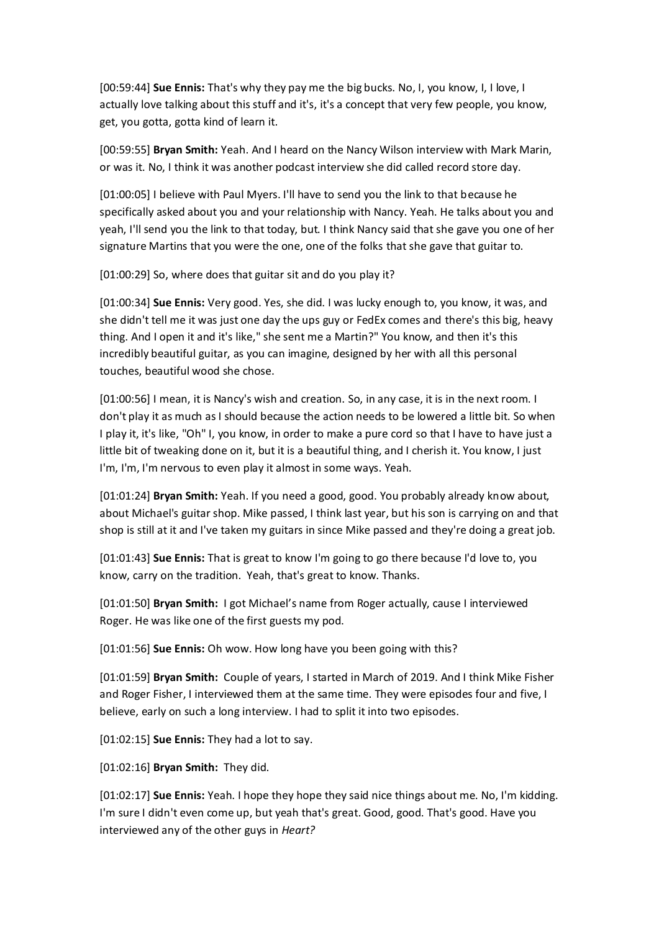[00:59:44] **Sue Ennis:** That's why they pay me the big bucks. No, I, you know, I, I love, I actually love talking about this stuff and it's, it's a concept that very few people, you know, get, you gotta, gotta kind of learn it.

[00:59:55] **Bryan Smith:** Yeah. And I heard on the Nancy Wilson interview with Mark Marin, or was it. No, I think it was another podcast interview she did called record store day.

[01:00:05] I believe with Paul Myers. I'll have to send you the link to that because he specifically asked about you and your relationship with Nancy. Yeah. He talks about you and yeah, I'll send you the link to that today, but. I think Nancy said that she gave you one of her signature Martins that you were the one, one of the folks that she gave that guitar to.

[01:00:29] So, where does that guitar sit and do you play it?

[01:00:34] **Sue Ennis:** Very good. Yes, she did. I was lucky enough to, you know, it was, and she didn't tell me it was just one day the ups guy or FedEx comes and there's this big, heavy thing. And I open it and it's like," she sent me a Martin?" You know, and then it's this incredibly beautiful guitar, as you can imagine, designed by her with all this personal touches, beautiful wood she chose.

[01:00:56] I mean, it is Nancy's wish and creation. So, in any case, it is in the next room. I don't play it as much as I should because the action needs to be lowered a little bit. So when I play it, it's like, "Oh" I, you know, in order to make a pure cord so that I have to have just a little bit of tweaking done on it, but it is a beautiful thing, and I cherish it. You know, I just I'm, I'm, I'm nervous to even play it almost in some ways. Yeah.

[01:01:24] **Bryan Smith:** Yeah. If you need a good, good. You probably already know about, about Michael's guitar shop. Mike passed, I think last year, but his son is carrying on and that shop is still at it and I've taken my guitars in since Mike passed and they're doing a great job.

[01:01:43] **Sue Ennis:** That is great to know I'm going to go there because I'd love to, you know, carry on the tradition. Yeah, that's great to know. Thanks.

[01:01:50] **Bryan Smith:** I got Michael's name from Roger actually, cause I interviewed Roger. He was like one of the first guests my pod.

[01:01:56] **Sue Ennis:** Oh wow. How long have you been going with this?

[01:01:59] **Bryan Smith:** Couple of years, I started in March of 2019. And I think Mike Fisher and Roger Fisher, I interviewed them at the same time. They were episodes four and five, I believe, early on such a long interview. I had to split it into two episodes.

[01:02:15] **Sue Ennis:** They had a lot to say.

[01:02:16] **Bryan Smith:** They did.

[01:02:17] **Sue Ennis:** Yeah. I hope they hope they said nice things about me. No, I'm kidding. I'm sure I didn't even come up, but yeah that's great. Good, good. That's good. Have you interviewed any of the other guys in *Heart?*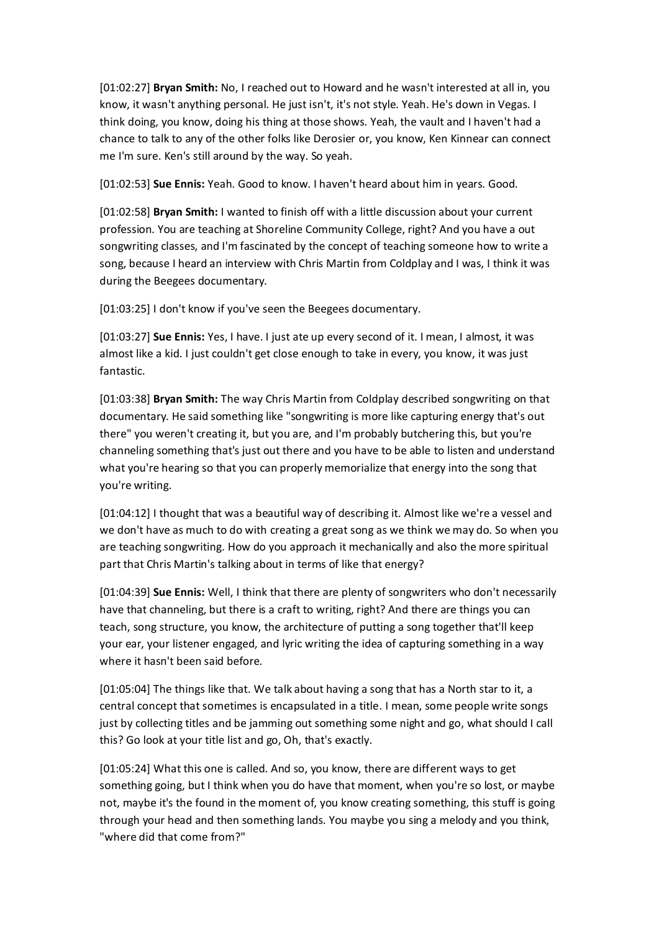[01:02:27] **Bryan Smith:** No, I reached out to Howard and he wasn't interested at all in, you know, it wasn't anything personal. He just isn't, it's not style. Yeah. He's down in Vegas. I think doing, you know, doing his thing at those shows. Yeah, the vault and I haven't had a chance to talk to any of the other folks like Derosier or, you know, Ken Kinnear can connect me I'm sure. Ken's still around by the way. So yeah.

[01:02:53] **Sue Ennis:** Yeah. Good to know. I haven't heard about him in years. Good.

[01:02:58] **Bryan Smith:** I wanted to finish off with a little discussion about your current profession. You are teaching at Shoreline Community College, right? And you have a out songwriting classes, and I'm fascinated by the concept of teaching someone how to write a song, because I heard an interview with Chris Martin from Coldplay and I was, I think it was during the Beegees documentary.

[01:03:25] I don't know if you've seen the Beegees documentary.

[01:03:27] **Sue Ennis:** Yes, I have. I just ate up every second of it. I mean, I almost, it was almost like a kid. I just couldn't get close enough to take in every, you know, it was just fantastic.

[01:03:38] **Bryan Smith:** The way Chris Martin from Coldplay described songwriting on that documentary. He said something like "songwriting is more like capturing energy that's out there" you weren't creating it, but you are, and I'm probably butchering this, but you're channeling something that's just out there and you have to be able to listen and understand what you're hearing so that you can properly memorialize that energy into the song that you're writing.

[01:04:12] I thought that was a beautiful way of describing it. Almost like we're a vessel and we don't have as much to do with creating a great song as we think we may do. So when you are teaching songwriting. How do you approach it mechanically and also the more spiritual part that Chris Martin's talking about in terms of like that energy?

[01:04:39] **Sue Ennis:** Well, I think that there are plenty of songwriters who don't necessarily have that channeling, but there is a craft to writing, right? And there are things you can teach, song structure, you know, the architecture of putting a song together that'll keep your ear, your listener engaged, and lyric writing the idea of capturing something in a way where it hasn't been said before.

[01:05:04] The things like that. We talk about having a song that has a North star to it, a central concept that sometimes is encapsulated in a title. I mean, some people write songs just by collecting titles and be jamming out something some night and go, what should I call this? Go look at your title list and go, Oh, that's exactly.

[01:05:24] What this one is called. And so, you know, there are different ways to get something going, but I think when you do have that moment, when you're so lost, or maybe not, maybe it's the found in the moment of, you know creating something, this stuff is going through your head and then something lands. You maybe you sing a melody and you think, "where did that come from?"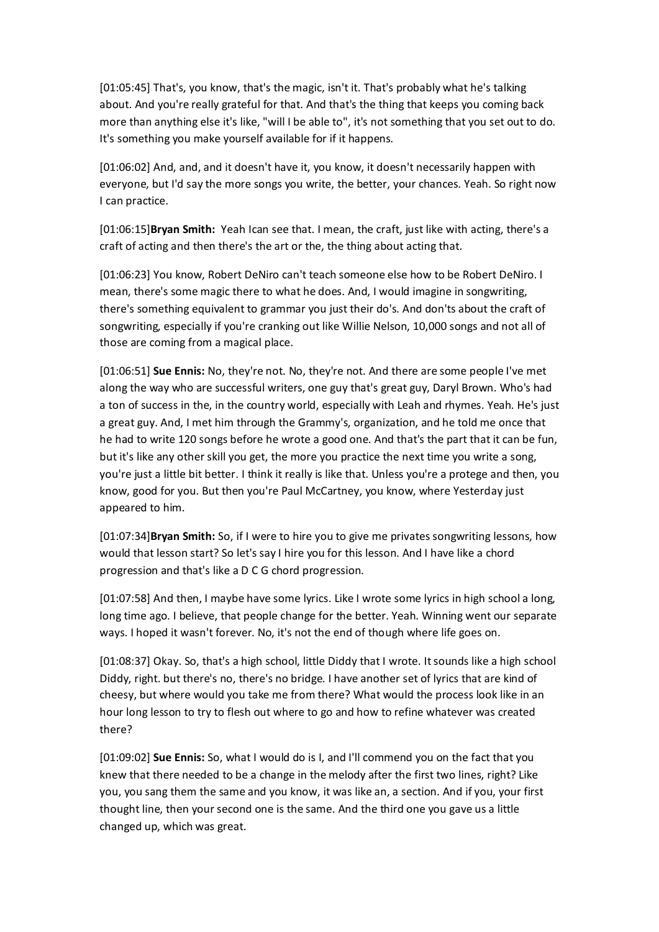[01:05:45] That's, you know, that's the magic, isn't it. That's probably what he's talking about. And you're really grateful for that. And that's the thing that keeps you coming back more than anything else it's like, "will I be able to", it's not something that you set out to do. It's something you make yourself available for if it happens.

[01:06:02] And, and, and it doesn't have it, you know, it doesn't necessarily happen with everyone, but I'd say the more songs you write, the better, your chances. Yeah. So right now I can practice.

[01:06:15]**Bryan Smith:** Yeah Ican see that. I mean, the craft, just like with acting, there's a craft of acting and then there's the art or the, the thing about acting that.

[01:06:23] You know, Robert DeNiro can't teach someone else how to be Robert DeNiro. I mean, there's some magic there to what he does. And, I would imagine in songwriting, there's something equivalent to grammar you just their do's. And don'ts about the craft of songwriting, especially if you're cranking out like Willie Nelson, 10,000 songs and not all of those are coming from a magical place.

[01:06:51] **Sue Ennis:** No, they're not. No, they're not. And there are some people I've met along the way who are successful writers, one guy that's great guy, Daryl Brown. Who's had a ton of success in the, in the country world, especially with Leah and rhymes. Yeah. He's just a great guy. And, I met him through the Grammy's, organization, and he told me once that he had to write 120 songs before he wrote a good one. And that's the part that it can be fun, but it's like any other skill you get, the more you practice the next time you write a song, you're just a little bit better. I think it really is like that. Unless you're a protege and then, you know, good for you. But then you're Paul McCartney, you know, where Yesterday just appeared to him.

[01:07:34]**Bryan Smith:** So, if I were to hire you to give me privates songwriting lessons, how would that lesson start? So let's say I hire you for this lesson. And I have like a chord progression and that's like a D C G chord progression.

[01:07:58] And then, I maybe have some lyrics. Like I wrote some lyrics in high school a long, long time ago. I believe, that people change for the better. Yeah. Winning went our separate ways. I hoped it wasn't forever. No, it's not the end of though where life goes on.

[01:08:37] Okay. So, that's a high school, little Diddy that I wrote. It sounds like a high school Diddy, right. but there's no, there's no bridge. I have another set of lyrics that are kind of cheesy, but where would you take me from there? What would the process look like in an hour long lesson to try to flesh out where to go and how to refine whatever was created there?

[01:09:02] **Sue Ennis:** So, what I would do is I, and I'll commend you on the fact that you knew that there needed to be a change in the melody after the first two lines, right? Like you, you sang them the same and you know, it was like an, a section. And if you, your first thought line, then your second one is the same. And the third one you gave us a little changed up, which was great.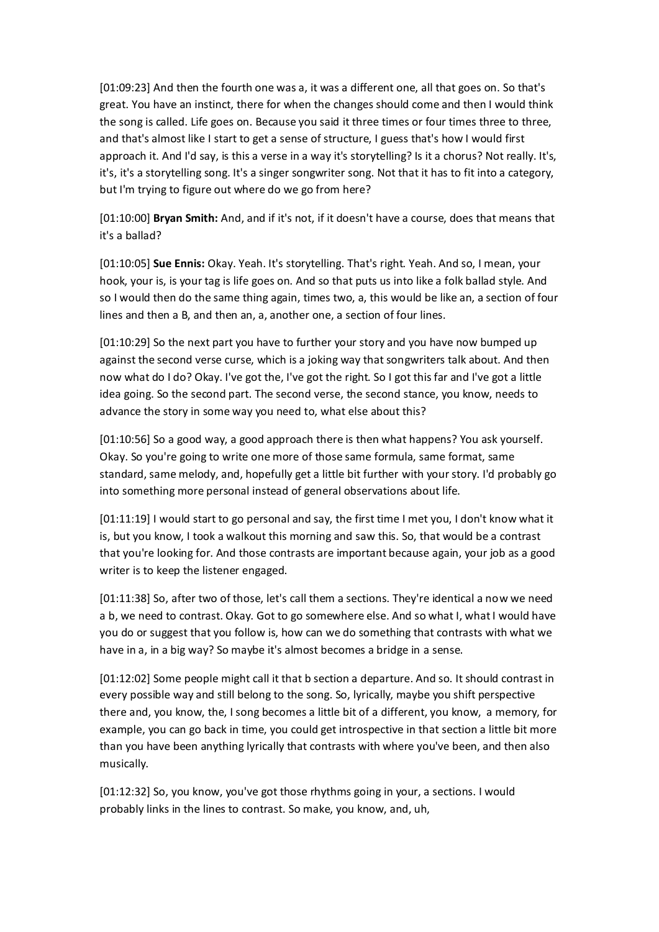[01:09:23] And then the fourth one was a, it was a different one, all that goes on. So that's great. You have an instinct, there for when the changes should come and then I would think the song is called. Life goes on. Because you said it three times or four times three to three, and that's almost like I start to get a sense of structure, I guess that's how I would first approach it. And I'd say, is this a verse in a way it's storytelling? Is it a chorus? Not really. It's, it's, it's a storytelling song. It's a singer songwriter song. Not that it has to fit into a category, but I'm trying to figure out where do we go from here?

[01:10:00] **Bryan Smith:** And, and if it's not, if it doesn't have a course, does that means that it's a ballad?

[01:10:05] **Sue Ennis:** Okay. Yeah. It's storytelling. That's right. Yeah. And so, I mean, your hook, your is, is your tag is life goes on. And so that puts us into like a folk ballad style. And so I would then do the same thing again, times two, a, this would be like an, a section of four lines and then a B, and then an, a, another one, a section of four lines.

[01:10:29] So the next part you have to further your story and you have now bumped up against the second verse curse, which is a joking way that songwriters talk about. And then now what do I do? Okay. I've got the, I've got the right. So I got this far and I've got a little idea going. So the second part. The second verse, the second stance, you know, needs to advance the story in some way you need to, what else about this?

[01:10:56] So a good way, a good approach there is then what happens? You ask yourself. Okay. So you're going to write one more of those same formula, same format, same standard, same melody, and, hopefully get a little bit further with your story. I'd probably go into something more personal instead of general observations about life.

[01:11:19] I would start to go personal and say, the first time I met you, I don't know what it is, but you know, I took a walkout this morning and saw this. So, that would be a contrast that you're looking for. And those contrasts are important because again, your job as a good writer is to keep the listener engaged.

[01:11:38] So, after two of those, let's call them a sections. They're identical a now we need a b, we need to contrast. Okay. Got to go somewhere else. And so what I, what I would have you do or suggest that you follow is, how can we do something that contrasts with what we have in a, in a big way? So maybe it's almost becomes a bridge in a sense.

[01:12:02] Some people might call it that b section a departure. And so. It should contrast in every possible way and still belong to the song. So, lyrically, maybe you shift perspective there and, you know, the, I song becomes a little bit of a different, you know, a memory, for example, you can go back in time, you could get introspective in that section a little bit more than you have been anything lyrically that contrasts with where you've been, and then also musically.

[01:12:32] So, you know, you've got those rhythms going in your, a sections. I would probably links in the lines to contrast. So make, you know, and, uh,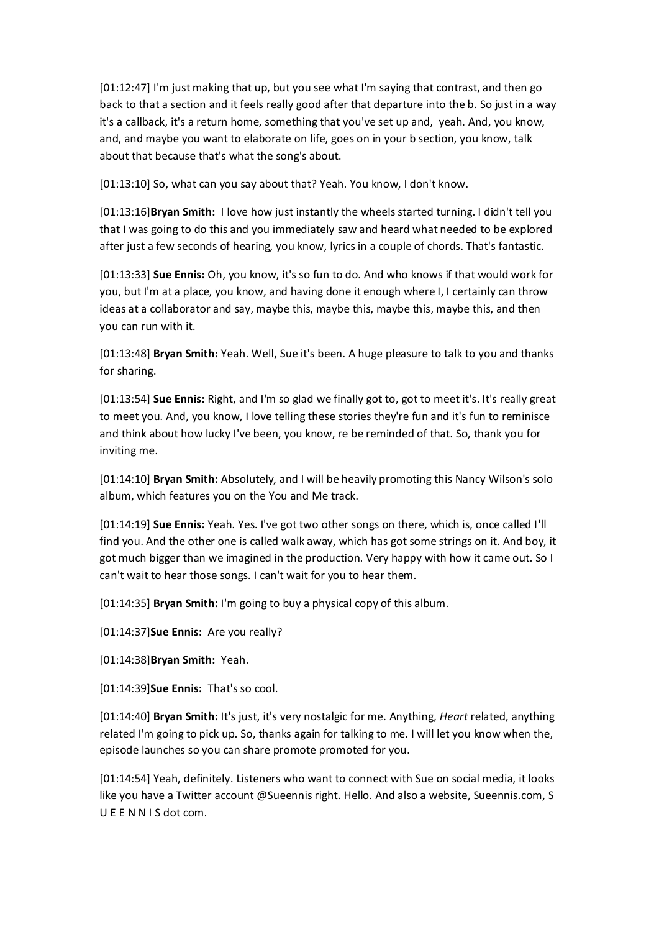[01:12:47] I'm just making that up, but you see what I'm saying that contrast, and then go back to that a section and it feels really good after that departure into the b. So just in a way it's a callback, it's a return home, something that you've set up and, yeah. And, you know, and, and maybe you want to elaborate on life, goes on in your b section, you know, talk about that because that's what the song's about.

[01:13:10] So, what can you say about that? Yeah. You know, I don't know.

[01:13:16]**Bryan Smith:** I love how just instantly the wheels started turning. I didn't tell you that I was going to do this and you immediately saw and heard what needed to be explored after just a few seconds of hearing, you know, lyrics in a couple of chords. That's fantastic.

[01:13:33] **Sue Ennis:** Oh, you know, it's so fun to do. And who knows if that would work for you, but I'm at a place, you know, and having done it enough where I, I certainly can throw ideas at a collaborator and say, maybe this, maybe this, maybe this, maybe this, and then you can run with it.

[01:13:48] **Bryan Smith:** Yeah. Well, Sue it's been. A huge pleasure to talk to you and thanks for sharing.

[01:13:54] **Sue Ennis:** Right, and I'm so glad we finally got to, got to meet it's. It's really great to meet you. And, you know, I love telling these stories they're fun and it's fun to reminisce and think about how lucky I've been, you know, re be reminded of that. So, thank you for inviting me.

[01:14:10] **Bryan Smith:** Absolutely, and I will be heavily promoting this Nancy Wilson's solo album, which features you on the You and Me track.

[01:14:19] **Sue Ennis:** Yeah. Yes. I've got two other songs on there, which is, once called I'll find you. And the other one is called walk away, which has got some strings on it. And boy, it got much bigger than we imagined in the production. Very happy with how it came out. So I can't wait to hear those songs. I can't wait for you to hear them.

[01:14:35] **Bryan Smith:** I'm going to buy a physical copy of this album.

[01:14:37]**Sue Ennis:** Are you really?

[01:14:38]**Bryan Smith:** Yeah.

[01:14:39]**Sue Ennis:** That's so cool.

[01:14:40] **Bryan Smith:** It's just, it's very nostalgic for me. Anything, *Heart* related, anything related I'm going to pick up. So, thanks again for talking to me. I will let you know when the, episode launches so you can share promote promoted for you.

[01:14:54] Yeah, definitely. Listeners who want to connect with Sue on social media, it looks like you have a Twitter account @Sueennis right. Hello. And also a website, Sueennis.com, S U E E N N I S dot com.